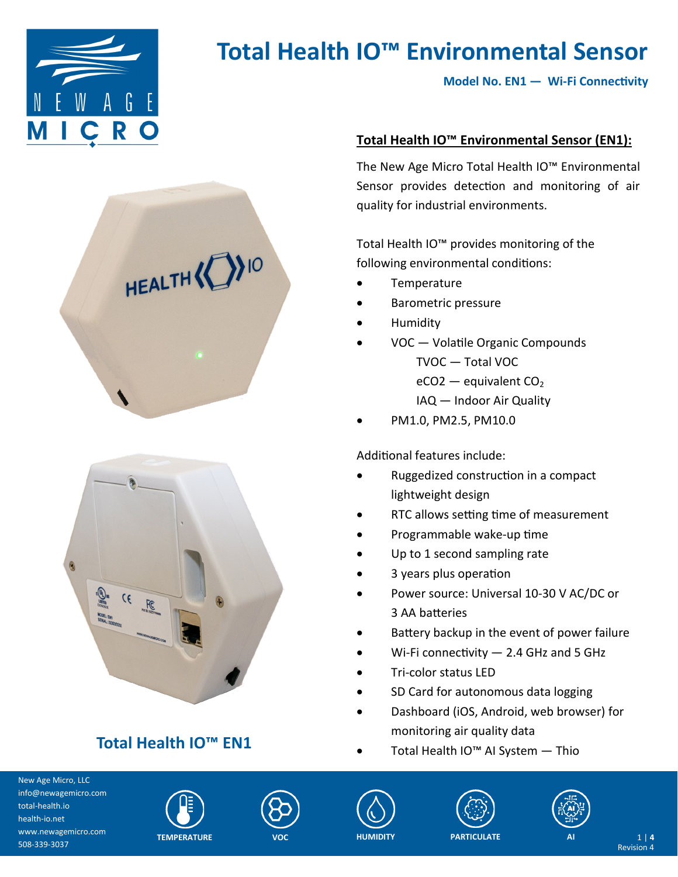

**Model No. EN1 — Wi-Fi Connectivity**





## **Total Health IO™ EN1**

### **Total Health IO™ Environmental Sensor (EN1):**

The New Age Micro Total Health IO™ Environmental Sensor provides detection and monitoring of air quality for industrial environments.

Total Health IO™ provides monitoring of the following environmental conditions:

- **Temperature**
- Barometric pressure
- Humidity
- VOC Volatile Organic Compounds TVOC — Total VOC  $eCO2$  — equivalent  $CO<sub>2</sub>$ IAQ — Indoor Air Quality
- PM1.0, PM2.5, PM10.0

### Additional features include:

- Ruggedized construction in a compact lightweight design
- RTC allows setting time of measurement
- Programmable wake-up time
- Up to 1 second sampling rate
- 3 years plus operation
- Power source: Universal 10-30 V AC/DC or 3 AA batteries
- Battery backup in the event of power failure
- Wi-Fi connectivity  $-2.4$  GHz and 5 GHz
- Tri-color status LED
- SD Card for autonomous data logging
- Dashboard (iOS, Android, web browser) for monitoring air quality data
- Total Health IO™ AI System Thio













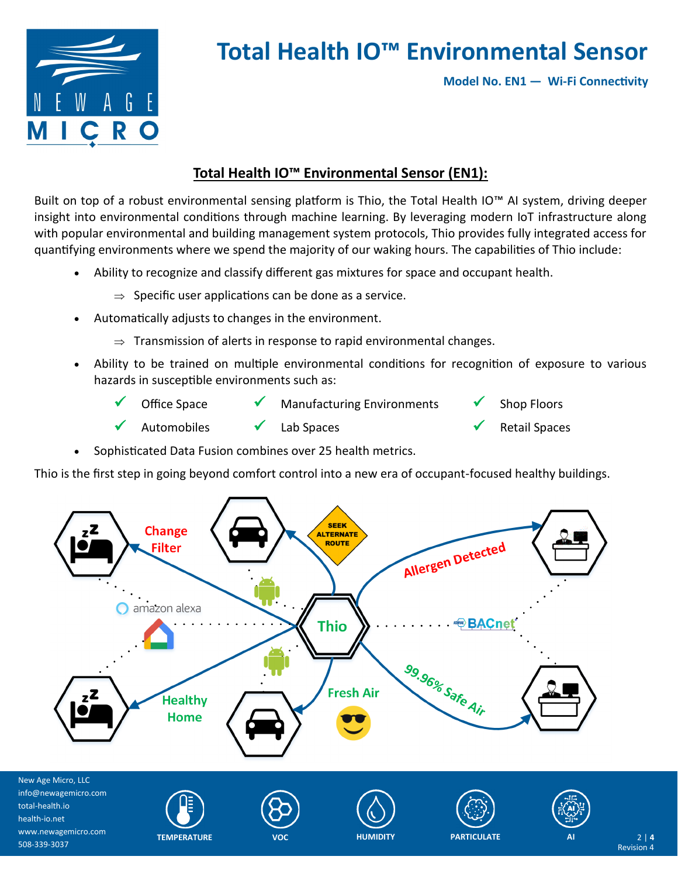

**Model No. EN1 — Wi-Fi Connectivity**

### **Total Health IO™ Environmental Sensor (EN1):**

Built on top of a robust environmental sensing platform is Thio, the Total Health IO™ AI system, driving deeper insight into environmental conditions through machine learning. By leveraging modern IoT infrastructure along with popular environmental and building management system protocols, Thio provides fully integrated access for quantifying environments where we spend the majority of our waking hours. The capabilities of Thio include:

- Ability to recognize and classify different gas mixtures for space and occupant health.
	- $\Rightarrow$  Specific user applications can be done as a service.
- Automatically adjusts to changes in the environment.
	- $\Rightarrow$  Transmission of alerts in response to rapid environmental changes.
- Ability to be trained on multiple environmental conditions for recognition of exposure to various hazards in susceptible environments such as:
	- Office Space  $\checkmark$  Manufacturing Environments  $\checkmark$  Shop Floors Automobiles  $\checkmark$  Lab Spaces  $\checkmark$  Retail Spaces
- Sophisticated Data Fusion combines over 25 health metrics.

Thio is the first step in going beyond comfort control into a new era of occupant-focused healthy buildings.

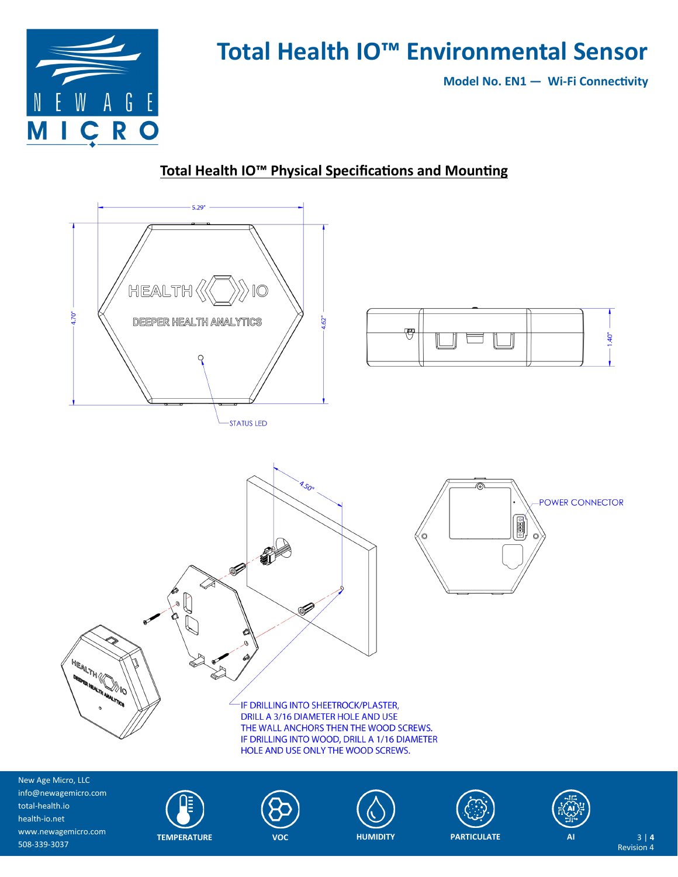

**Model No. EN1 — Wi-Fi Connectivity**

### **Total Health IO™ Physical Specifications and Mounting**



New Age Micro, LLC info@newagemicro.com total-health.io health-io.net www.newagemicro.com 508-339-3037